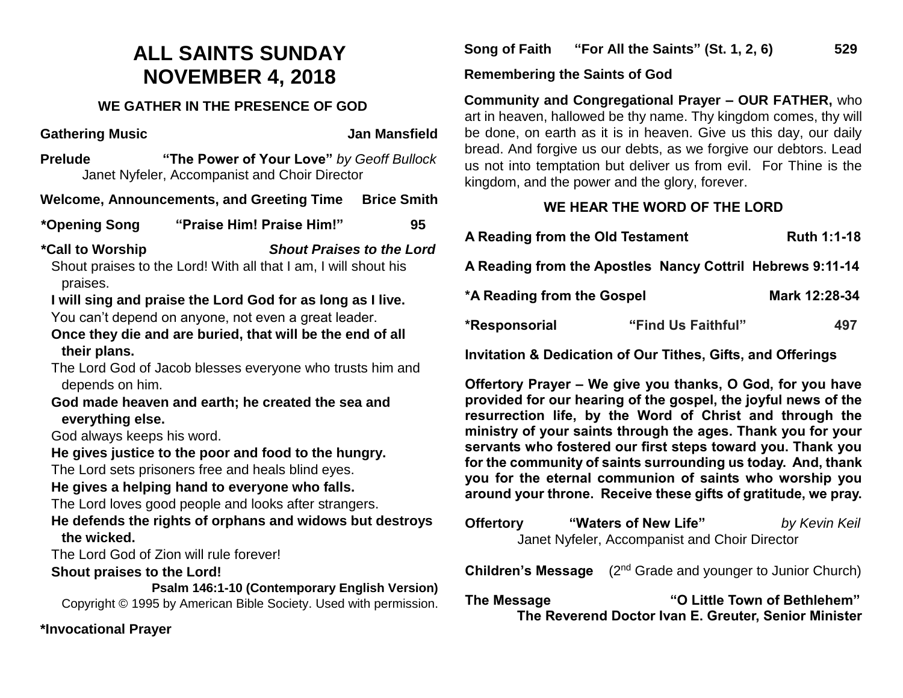# **ALL SAINTS SUNDAY NOVEMBER 4, 2018**

#### **WE GATHER IN THE PRESENCE OF GOD**

**Gathering Music Community Control Control Control Control Control Control Control Control Control Control Control Control Control Control Control Control Control Control Control Control Control Control Control Control Con** 

**Prelude "The Power of Your Love"** *by Geoff Bullock*Janet Nyfeler, Accompanist and Choir Director

**Welcome, Announcements, and Greeting Time Brice Smith** 

**\*Opening Song "Praise Him! Praise Him!" 95**

**\*Call to Worship** *Shout Praises to the Lord*

Shout praises to the Lord! With all that I am, I will shout his praises.

### **I will sing and praise the Lord God for as long as I live.**

You can't depend on anyone, not even a great leader.

**Once they die and are buried, that will be the end of all their plans.**

The Lord God of Jacob blesses everyone who trusts him and depends on him.

#### **God made heaven and earth; he created the sea and everything else.**

God always keeps his word.

**He gives justice to the poor and food to the hungry.**

The Lord sets prisoners free and heals blind eyes.

#### **He gives a helping hand to everyone who falls.**

The Lord loves good people and looks after strangers.

**He defends the rights of orphans and widows but destroys the wicked.**

The Lord God of Zion will rule forever!

#### **Shout praises to the Lord!**

**Psalm 146:1-10 (Contemporary English Version)** Copyright © 1995 by American Bible Society. Used with permission.

**\*Invocational Prayer**

**Song of Faith "For All the Saints" (St. 1, 2, 6) 529**

**Remembering the Saints of God**

**Community and Congregational Prayer – OUR FATHER,** who art in heaven, hallowed be thy name. Thy kingdom comes, thy will be done, on earth as it is in heaven. Give us this day, our daily bread. And forgive us our debts, as we forgive our debtors. Lead us not into temptation but deliver us from evil. For Thine is the kingdom, and the power and the glory, forever.

# **WE HEAR THE WORD OF THE LORD**

| A Reading from the Old Testament                          |  |                    | <b>Ruth 1:1-18</b> |
|-----------------------------------------------------------|--|--------------------|--------------------|
| A Reading from the Apostles Nancy Cottril Hebrews 9:11-14 |  |                    |                    |
| *A Reading from the Gospel                                |  |                    | Mark 12:28-34      |
| *Responsorial                                             |  | "Find Us Faithful" | 497                |

**Invitation & Dedication of Our Tithes, Gifts, and Offerings**

**Offertory Prayer – We give you thanks, O God, for you have provided for our hearing of the gospel, the joyful news of the resurrection life, by the Word of Christ and through the ministry of your saints through the ages. Thank you for your servants who fostered our first steps toward you. Thank you for the community of saints surrounding us today. And, thank you for the eternal communion of saints who worship you around your throne. Receive these gifts of gratitude, we pray.** 

**Offertory "Waters of New Life"** *by Kevin Keil* Janet Nyfeler, Accompanist and Choir Director

**Children's Message** (2<sup>nd</sup> Grade and younger to Junior Church)

**The Message "O Little Town of Bethlehem" The Reverend Doctor Ivan E. Greuter, Senior Minister**